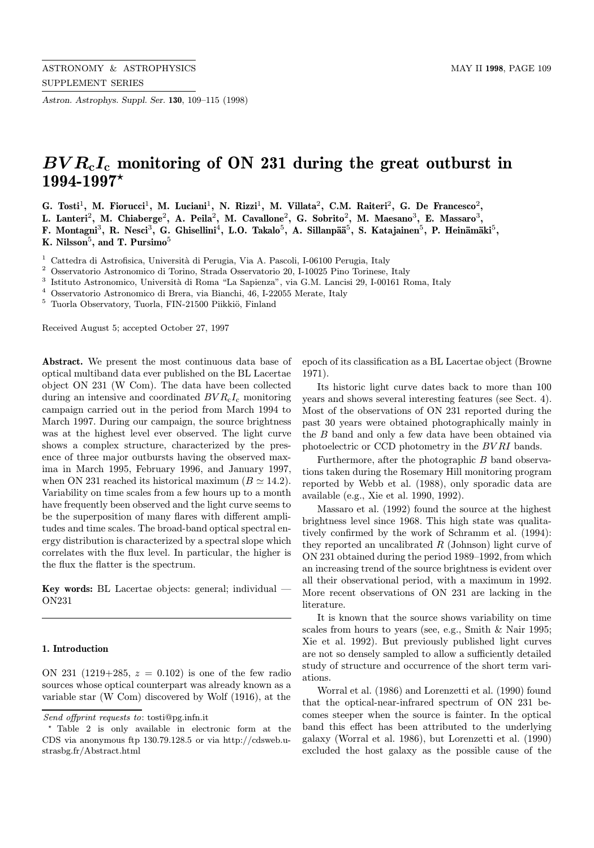Astron. Astrophys. Suppl. Ser. 130, 109–115 (1998)

# $BVR<sub>c</sub>I<sub>c</sub>$  monitoring of ON 231 during the great outburst in  $1994 - 1997*$

G. Tosti<sup>1</sup>, M. Fiorucci<sup>1</sup>, M. Luciani<sup>1</sup>, N. Rizzi<sup>1</sup>, M. Villata<sup>2</sup>, C.M. Raiteri<sup>2</sup>, G. De Francesco<sup>2</sup>,

L. Lanteri<sup>2</sup>, M. Chiaberge<sup>2</sup>, A. Peila<sup>2</sup>, M. Cavallone<sup>2</sup>, G. Sobrito<sup>2</sup>, M. Maesano<sup>3</sup>, E. Massaro<sup>3</sup>,

F. Montagni<sup>3</sup>, R. Nesci<sup>3</sup>, G. Ghisellini<sup>4</sup>, L.O. Takalo<sup>5</sup>, A. Sillanpää<sup>5</sup>, S. Katajainen<sup>5</sup>, P. Heinämäki<sup>5</sup>, K. Nilsson<sup>5</sup>, and T. Pursimo<sup>5</sup>

<sup>1</sup> Cattedra di Astrofisica, Università di Perugia, Via A. Pascoli, I-06100 Perugia, Italy

<sup>2</sup> Osservatorio Astronomico di Torino, Strada Osservatorio 20, I-10025 Pino Torinese, Italy

 $^3\,$ Istituto Astronomico, Università di Roma "La Sapienza", via G.M. Lancisi 29, I-00161 Roma, Italy

 $^4\,$  Osservatorio Astronomico di Brera, via Bianchi, 46, I-22055 Merate, Italy

 $^5\,$  Tuorla Observatory, Tuorla, FIN-21500 Piikkiö, Finland

Received August 5; accepted October 27, 1997

Abstract. We present the most continuous data base of optical multiband data ever published on the BL Lacertae object ON 231 (W Com). The data have been collected during an intensive and coordinated  $BVR_{c}I_{c}$  monitoring campaign carried out in the period from March 1994 to March 1997. During our campaign, the source brightness was at the highest level ever observed. The light curve shows a complex structure, characterized by the presence of three major outbursts having the observed maxima in March 1995, February 1996, and January 1997, when ON 231 reached its historical maximum ( $B \simeq 14.2$ ). Variability on time scales from a few hours up to a month have frequently been observed and the light curve seems to be the superposition of many flares with different amplitudes and time scales. The broad-band optical spectral energy distribution is characterized by a spectral slope which correlates with the flux level. In particular, the higher is the flux the flatter is the spectrum.

Key words: BL Lacertae objects: general; individual — ON231

#### 1. Introduction

ON 231 (1219+285,  $z = 0.102$ ) is one of the few radio sources whose optical counterpart was already known as a variable star (W Com) discovered by Wolf (1916), at the epoch of its classification as a BL Lacertae object (Browne 1971).

Its historic light curve dates back to more than 100 years and shows several interesting features (see Sect. 4). Most of the observations of ON 231 reported during the past 30 years were obtained photographically mainly in the B band and only a few data have been obtained via photoelectric or CCD photometry in the BV RI bands.

Furthermore, after the photographic B band observations taken during the Rosemary Hill monitoring program reported by Webb et al. (1988), only sporadic data are available (e.g., Xie et al. 1990, 1992).

Massaro et al. (1992) found the source at the highest brightness level since 1968. This high state was qualitatively confirmed by the work of Schramm et al. (1994): they reported an uncalibrated  $R$  (Johnson) light curve of ON 231 obtained during the period 1989–1992, from which an increasing trend of the source brightness is evident over all their observational period, with a maximum in 1992. More recent observations of ON 231 are lacking in the literature.

It is known that the source shows variability on time scales from hours to years (see, e.g., Smith & Nair 1995; Xie et al. 1992). But previously published light curves are not so densely sampled to allow a sufficiently detailed study of structure and occurrence of the short term variations.

Worral et al. (1986) and Lorenzetti et al. (1990) found that the optical-near-infrared spectrum of ON 231 becomes steeper when the source is fainter. In the optical band this effect has been attributed to the underlying galaxy (Worral et al. 1986), but Lorenzetti et al. (1990) excluded the host galaxy as the possible cause of the

Send offprint requests to: tosti@pg.infn.it

<sup>?</sup> Table 2 is only available in electronic form at the CDS via anonymous ftp 130.79.128.5 or via http://cdsweb.ustrasbg.fr/Abstract.html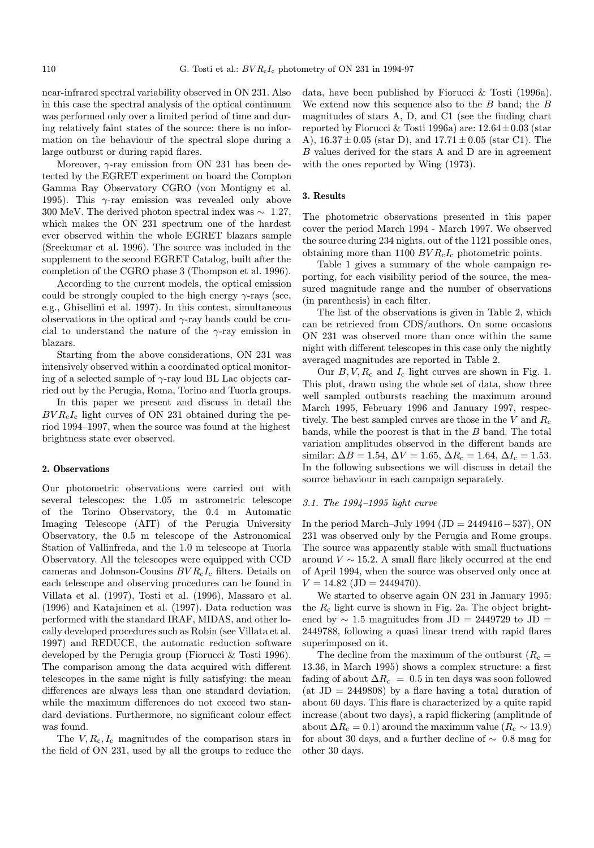near-infrared spectral variability observed in ON 231. Also in this case the spectral analysis of the optical continuum was performed only over a limited period of time and during relatively faint states of the source: there is no information on the behaviour of the spectral slope during a large outburst or during rapid flares.

Moreover,  $\gamma$ -ray emission from ON 231 has been detected by the EGRET experiment on board the Compton Gamma Ray Observatory CGRO (von Montigny et al. 1995). This  $\gamma$ -ray emission was revealed only above 300 MeV. The derived photon spectral index was  $\sim 1.27$ , which makes the ON 231 spectrum one of the hardest ever observed within the whole EGRET blazars sample (Sreekumar et al. 1996). The source was included in the supplement to the second EGRET Catalog, built after the completion of the CGRO phase 3 (Thompson et al. 1996).

According to the current models, the optical emission could be strongly coupled to the high energy  $\gamma$ -rays (see, e.g., Ghisellini et al. 1997). In this contest, simultaneous observations in the optical and  $\gamma$ -ray bands could be crucial to understand the nature of the  $\gamma$ -ray emission in blazars.

Starting from the above considerations, ON 231 was intensively observed within a coordinated optical monitoring of a selected sample of  $\gamma$ -ray loud BL Lac objects carried out by the Perugia, Roma, Torino and Tuorla groups.

In this paper we present and discuss in detail the  $BVR<sub>c</sub>I<sub>c</sub>$  light curves of ON 231 obtained during the period 1994–1997, when the source was found at the highest brightness state ever observed.

#### 2. Observations

Our photometric observations were carried out with several telescopes: the 1.05 m astrometric telescope of the Torino Observatory, the 0.4 m Automatic Imaging Telescope (AIT) of the Perugia University Observatory, the 0.5 m telescope of the Astronomical Station of Vallinfreda, and the 1.0 m telescope at Tuorla Observatory. All the telescopes were equipped with CCD cameras and Johnson-Cousins  $BVR_{c}I_{c}$  filters. Details on each telescope and observing procedures can be found in Villata et al. (1997), Tosti et al. (1996), Massaro et al. (1996) and Katajainen et al. (1997). Data reduction was performed with the standard IRAF, MIDAS, and other locally developed procedures such as Robin (see Villata et al. 1997) and REDUCE, the automatic reduction software developed by the Perugia group (Fiorucci & Tosti 1996). The comparison among the data acquired with different telescopes in the same night is fully satisfying: the mean differences are always less than one standard deviation, while the maximum differences do not exceed two standard deviations. Furthermore, no significant colour effect was found.

The  $V, R_c, I_c$  magnitudes of the comparison stars in the field of ON 231, used by all the groups to reduce the data, have been published by Fiorucci & Tosti (1996a). We extend now this sequence also to the  $B$  band; the  $B$ magnitudes of stars A, D, and C1 (see the finding chart reported by Fiorucci & Tosti 1996a) are:  $12.64 \pm 0.03$  (star A),  $16.37 \pm 0.05$  (star D), and  $17.71 \pm 0.05$  (star C1). The B values derived for the stars A and D are in agreement with the ones reported by Wing (1973).

## 3. Results

The photometric observations presented in this paper cover the period March 1994 - March 1997. We observed the source during 234 nights, out of the 1121 possible ones, obtaining more than 1100  $BVR<sub>c</sub>I<sub>c</sub>$  photometric points.

Table 1 gives a summary of the whole campaign reporting, for each visibility period of the source, the measured magnitude range and the number of observations (in parenthesis) in each filter.

The list of the observations is given in Table 2, which can be retrieved from CDS/authors. On some occasions ON 231 was observed more than once within the same night with different telescopes in this case only the nightly averaged magnitudes are reported in Table 2.

Our  $B, V, R_c$  and  $I_c$  light curves are shown in Fig. 1. This plot, drawn using the whole set of data, show three well sampled outbursts reaching the maximum around March 1995, February 1996 and January 1997, respectively. The best sampled curves are those in the V and  $R_c$ bands, while the poorest is that in the B band. The total variation amplitudes observed in the different bands are similar:  $\Delta B = 1.54$ ,  $\Delta V = 1.65$ ,  $\Delta R_c = 1.64$ ,  $\Delta I_c = 1.53$ . In the following subsections we will discuss in detail the source behaviour in each campaign separately.

#### 3.1. The 1994–1995 light curve

In the period March–July 1994 (JD = 2449416 – 537), ON 231 was observed only by the Perugia and Rome groups. The source was apparently stable with small fluctuations around  $V \sim 15.2$ . A small flare likely occurred at the end of April 1994, when the source was observed only once at  $V = 14.82$  (JD = 2449470).

We started to observe again ON 231 in January 1995: the  $R_c$  light curve is shown in Fig. 2a. The object brightened by  $\sim$  1.5 magnitudes from JD = 2449729 to JD = 2449788, following a quasi linear trend with rapid flares superimposed on it.

The decline from the maximum of the outburst  $(R_c =$ 13.36, in March 1995) shows a complex structure: a first fading of about  $\Delta R_c = 0.5$  in ten days was soon followed (at  $JD = 2449808$ ) by a flare having a total duration of about 60 days. This flare is characterized by a quite rapid increase (about two days), a rapid flickering (amplitude of about  $\Delta R_c = 0.1$ ) around the maximum value ( $R_c \sim 13.9$ ) for about 30 days, and a further decline of  $\sim$  0.8 mag for other 30 days.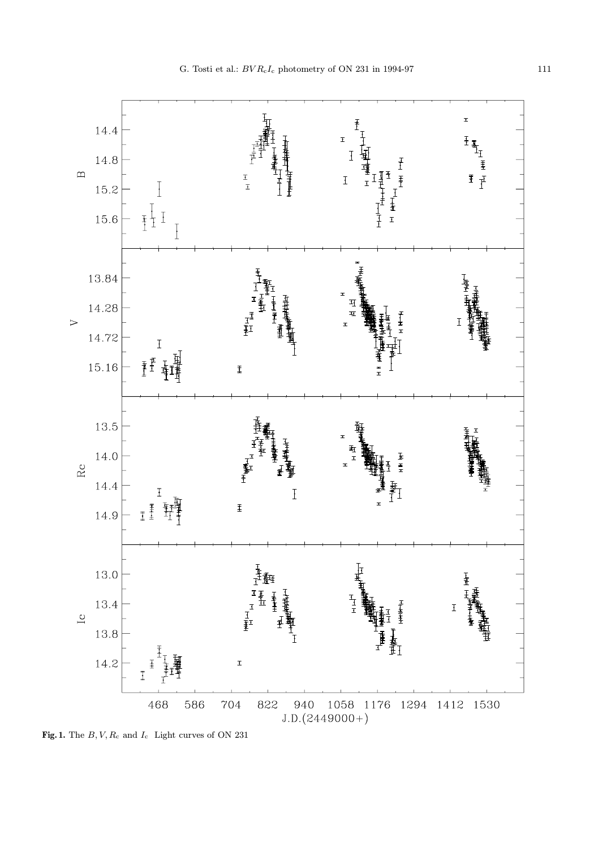

Fig. 1. The  $B,V,R_{\rm c}$  and  $I_{\rm c}$  Light curves of ON 231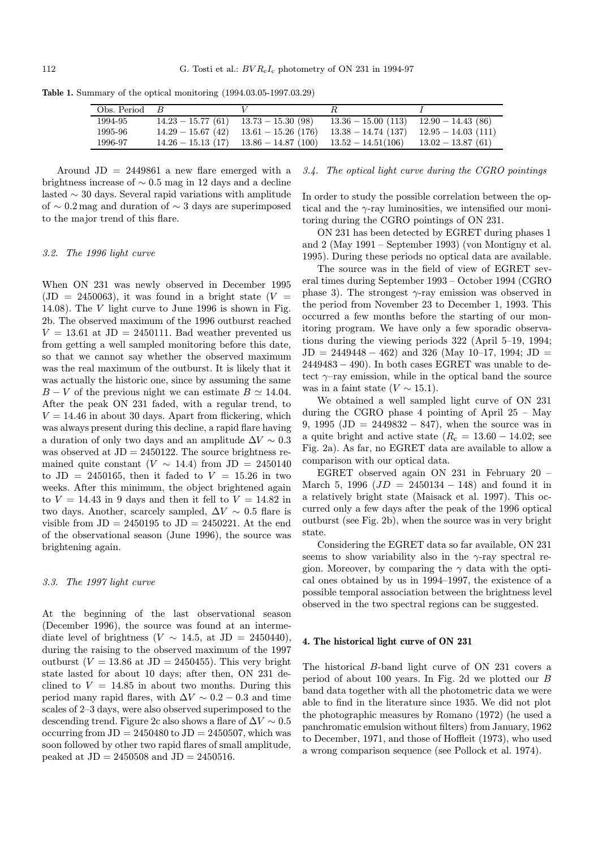| Obs. Period $B$ |                                                                                      |                                          |  |
|-----------------|--------------------------------------------------------------------------------------|------------------------------------------|--|
| 1994-95         | $14.23 - 15.77(61)$ $13.73 - 15.30(98)$                                              | $13.36 - 15.00(113)$ $12.90 - 14.43(86)$ |  |
| 1995-96         | $14.29 - 15.67(42)$ $13.61 - 15.26(176)$ $13.38 - 14.74(137)$ $12.95 - 14.03(111)$   |                                          |  |
| 1996-97         | $14.26 - 15.13$ (17) $13.86 - 14.87$ (100) $13.52 - 14.51(106)$ $13.02 - 13.87$ (61) |                                          |  |

Table 1. Summary of the optical monitoring (1994.03.05-1997.03.29)

Around  $JD = 2449861$  a new flare emerged with a brightness increase of  $\sim 0.5$  mag in 12 days and a decline lasted ∼ 30 days. Several rapid variations with amplitude of ∼ 0.2 mag and duration of ∼ 3 days are superimposed to the major trend of this flare.

#### 3.2. The 1996 light curve

When ON 231 was newly observed in December 1995  $(JD = 2450063)$ , it was found in a bright state  $(V =$ 14.08). The V light curve to June 1996 is shown in Fig. 2b. The observed maximum of the 1996 outburst reached  $V = 13.61$  at JD = 2450111. Bad weather prevented us from getting a well sampled monitoring before this date, so that we cannot say whether the observed maximum was the real maximum of the outburst. It is likely that it was actually the historic one, since by assuming the same  $B - V$  of the previous night we can estimate  $B \simeq 14.04$ . After the peak ON 231 faded, with a regular trend, to  $V = 14.46$  in about 30 days. Apart from flickering, which was always present during this decline, a rapid flare having a duration of only two days and an amplitude  $\Delta V \sim 0.3$ was observed at  $JD = 2450122$ . The source brightness remained quite constant ( $V \sim 14.4$ ) from JD = 2450140 to JD = 2450165, then it faded to  $V = 15.26$  in two weeks. After this minimum, the object brightened again to  $V = 14.43$  in 9 days and then it fell to  $V = 14.82$  in two days. Another, scarcely sampled,  $\Delta V \sim 0.5$  flare is visible from  $JD = 2450195$  to  $JD = 2450221$ . At the end of the observational season (June 1996), the source was brightening again.

## 3.3. The 1997 light curve

At the beginning of the last observational season (December 1996), the source was found at an intermediate level of brightness (V  $\sim$  14.5, at JD = 2450440), during the raising to the observed maximum of the 1997 outburst ( $V = 13.86$  at JD = 2450455). This very bright state lasted for about 10 days; after then, ON 231 declined to  $V = 14.85$  in about two months. During this period many rapid flares, with  $\Delta V \sim 0.2 - 0.3$  and time scales of 2–3 days, were also observed superimposed to the descending trend. Figure 2c also shows a flare of  $\Delta V \sim 0.5$ occurring from  $JD = 2450480$  to  $JD = 2450507$ , which was soon followed by other two rapid flares of small amplitude, peaked at  $JD = 2450508$  and  $JD = 2450516$ .

# 3.4. The optical light curve during the CGRO pointings

In order to study the possible correlation between the optical and the  $\gamma$ -ray luminosities, we intensified our monitoring during the CGRO pointings of ON 231.

ON 231 has been detected by EGRET during phases 1 and 2 (May 1991 – September 1993) (von Montigny et al. 1995). During these periods no optical data are available.

The source was in the field of view of EGRET several times during September 1993 – October 1994 (CGRO phase 3). The strongest  $\gamma$ -ray emission was observed in the period from November 23 to December 1, 1993. This occurred a few months before the starting of our monitoring program. We have only a few sporadic observations during the viewing periods 322 (April 5–19, 1994;  $JD = 2449448 - 462$ ) and 326 (May 10–17, 1994; JD =  $2449483 - 490$ . In both cases EGRET was unable to detect  $\gamma$ -ray emission, while in the optical band the source was in a faint state  $(V \sim 15.1)$ .

We obtained a well sampled light curve of ON 231 during the CGRO phase 4 pointing of April 25 – May 9, 1995 (JD = 2449832 – 847), when the source was in a quite bright and active state ( $R_c = 13.60 - 14.02$ ; see Fig. 2a). As far, no EGRET data are available to allow a comparison with our optical data.

EGRET observed again ON 231 in February 20 – March 5, 1996 ( $JD = 2450134 - 148$ ) and found it in a relatively bright state (Maisack et al. 1997). This occurred only a few days after the peak of the 1996 optical outburst (see Fig. 2b), when the source was in very bright state.

Considering the EGRET data so far available, ON 231 seems to show variability also in the  $\gamma$ -ray spectral region. Moreover, by comparing the  $\gamma$  data with the optical ones obtained by us in 1994–1997, the existence of a possible temporal association between the brightness level observed in the two spectral regions can be suggested.

#### 4. The historical light curve of ON 231

The historical B-band light curve of ON 231 covers a period of about 100 years. In Fig. 2d we plotted our B band data together with all the photometric data we were able to find in the literature since 1935. We did not plot the photographic measures by Romano (1972) (he used a panchromatic emulsion without filters) from January, 1962 to December, 1971, and those of Hoffleit (1973), who used a wrong comparison sequence (see Pollock et al. 1974).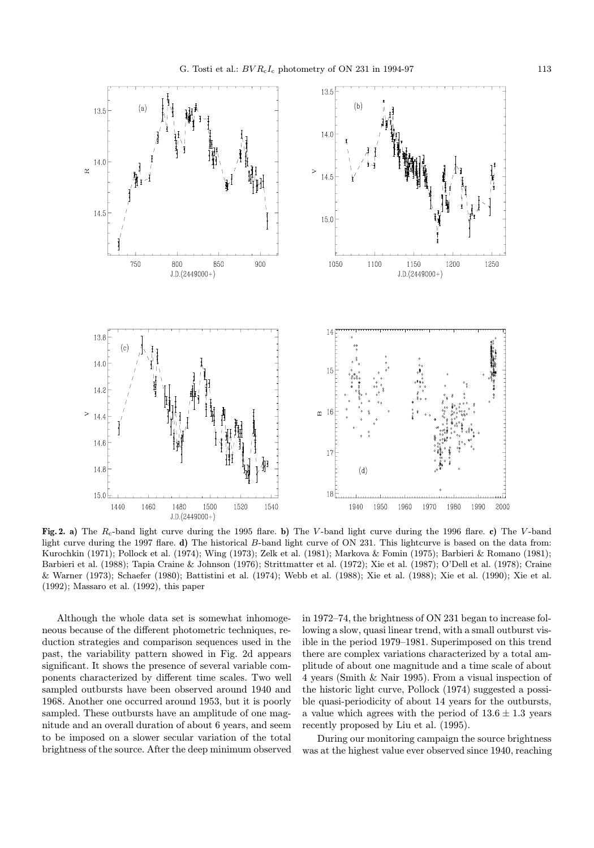

Fig. 2. a) The  $R_c$ -band light curve during the 1995 flare. b) The V-band light curve during the 1996 flare. c) The V-band light curve during the 1997 flare. d) The historical B-band light curve of ON 231. This lightcurve is based on the data from: Kurochkin (1971); Pollock et al. (1974); Wing (1973); Zelk et al. (1981); Markova & Fomin (1975); Barbieri & Romano (1981); Barbieri et al. (1988); Tapia Craine & Johnson (1976); Strittmatter et al. (1972); Xie et al. (1987); O'Dell et al. (1978); Craine & Warner (1973); Schaefer (1980); Battistini et al. (1974); Webb et al. (1988); Xie et al. (1988); Xie et al. (1990); Xie et al. (1992); Massaro et al. (1992), this paper

Although the whole data set is somewhat inhomogeneous because of the different photometric techniques, reduction strategies and comparison sequences used in the past, the variability pattern showed in Fig. 2d appears significant. It shows the presence of several variable components characterized by different time scales. Two well sampled outbursts have been observed around 1940 and 1968. Another one occurred around 1953, but it is poorly sampled. These outbursts have an amplitude of one magnitude and an overall duration of about 6 years, and seem to be imposed on a slower secular variation of the total brightness of the source. After the deep minimum observed in 1972–74, the brightness of ON 231 began to increase following a slow, quasi linear trend, with a small outburst visible in the period 1979–1981. Superimposed on this trend there are complex variations characterized by a total amplitude of about one magnitude and a time scale of about 4 years (Smith & Nair 1995). From a visual inspection of the historic light curve, Pollock (1974) suggested a possible quasi-periodicity of about 14 years for the outbursts, a value which agrees with the period of  $13.6 \pm 1.3$  years recently proposed by Liu et al. (1995).

During our monitoring campaign the source brightness was at the highest value ever observed since 1940, reaching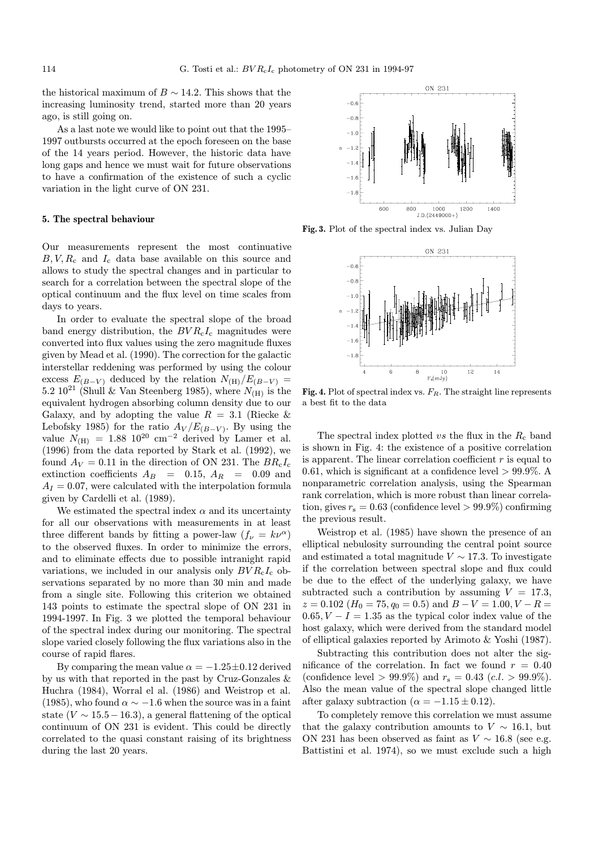the historical maximum of  $B \sim 14.2$ . This shows that the increasing luminosity trend, started more than 20 years ago, is still going on.

As a last note we would like to point out that the 1995– 1997 outbursts occurred at the epoch foreseen on the base of the 14 years period. However, the historic data have long gaps and hence we must wait for future observations to have a confirmation of the existence of such a cyclic variation in the light curve of ON 231.

#### 5. The spectral behaviour

Our measurements represent the most continuative  $B, V, R_c$  and  $I_c$  data base available on this source and allows to study the spectral changes and in particular to search for a correlation between the spectral slope of the optical continuum and the flux level on time scales from days to years.

In order to evaluate the spectral slope of the broad band energy distribution, the  $BVR<sub>c</sub>I<sub>c</sub>$  magnitudes were converted into flux values using the zero magnitude fluxes given by Mead et al. (1990). The correction for the galactic interstellar reddening was performed by using the colour excess  $E_{(B-V)}$  deduced by the relation  $N_{\text{(H)}}/E_{(B-V)}$  = 5.2 10<sup>21</sup> (Shull & Van Steenberg 1985), where  $N_{\text{(H)}}$  is the equivalent hydrogen absorbing column density due to our Galaxy, and by adopting the value  $R = 3.1$  (Riecke & Lebofsky 1985) for the ratio  $A_V/E_{(B-V)}$ . By using the value  $N_{\text{(H)}} = 1.88 \, 10^{20} \, \text{cm}^{-2}$  derived by Lamer et al. (1996) from the data reported by Stark et al. (1992), we found  $A_V = 0.11$  in the direction of ON 231. The  $BR<sub>c</sub>I<sub>c</sub>$ extinction coefficients  $A_B = 0.15, A_R = 0.09$  and  $A_I = 0.07$ , were calculated with the interpolation formula given by Cardelli et al. (1989).

We estimated the spectral index  $\alpha$  and its uncertainty for all our observations with measurements in at least three different bands by fitting a power-law  $(f_{\nu} = k\nu^{\alpha})$ to the observed fluxes. In order to minimize the errors, and to eliminate effects due to possible intranight rapid variations, we included in our analysis only  $BVR<sub>c</sub>I<sub>c</sub>$  observations separated by no more than 30 min and made from a single site. Following this criterion we obtained 143 points to estimate the spectral slope of ON 231 in 1994-1997. In Fig. 3 we plotted the temporal behaviour of the spectral index during our monitoring. The spectral slope varied closely following the flux variations also in the course of rapid flares.

By comparing the mean value  $\alpha = -1.25 \pm 0.12$  derived by us with that reported in the past by Cruz-Gonzales & Huchra (1984), Worral el al. (1986) and Weistrop et al. (1985), who found  $\alpha \sim -1.6$  when the source was in a faint state ( $V \sim 15.5 - 16.3$ ), a general flattening of the optical continuum of ON 231 is evident. This could be directly correlated to the quasi constant raising of its brightness during the last 20 years.

ON 231  $-0e$  $-0.8$  $-1.4$  $-1.$ 600 800  $J.D. (2449000+)$ 1200 1400

Fig. 3. Plot of the spectral index vs. Julian Day



**Fig. 4.** Plot of spectral index vs.  $F_R$ . The straight line represents a best fit to the data

The spectral index plotted vs the flux in the  $R_c$  band is shown in Fig. 4: the existence of a positive correlation is apparent. The linear correlation coefficient  $r$  is equal to 0.61, which is significant at a confidence level  $> 99.9\%$ . A nonparametric correlation analysis, using the Spearman rank correlation, which is more robust than linear correlation, gives  $r_s = 0.63$  (confidence level  $> 99.9\%$ ) confirming the previous result.

Weistrop et al. (1985) have shown the presence of an elliptical nebulosity surrounding the central point source and estimated a total magnitude  $V \sim 17.3$ . To investigate if the correlation between spectral slope and flux could be due to the effect of the underlying galaxy, we have subtracted such a contribution by assuming  $V = 17.3$ ,  $z = 0.102$  ( $H_0 = 75, q_0 = 0.5$ ) and  $B - V = 1.00, V - R =$  $0.65, V - I = 1.35$  as the typical color index value of the host galaxy, which were derived from the standard model of elliptical galaxies reported by Arimoto & Yoshi (1987).

Subtracting this contribution does not alter the significance of the correlation. In fact we found  $r = 0.40$ (confidence level > 99.9%) and  $r_s = 0.43$  (c.l. > 99.9%). Also the mean value of the spectral slope changed little after galaxy subtraction ( $\alpha = -1.15 \pm 0.12$ ).

To completely remove this correlation we must assume that the galaxy contribution amounts to  $V \sim 16.1$ , but ON 231 has been observed as faint as  $V \sim 16.8$  (see e.g. Battistini et al. 1974), so we must exclude such a high